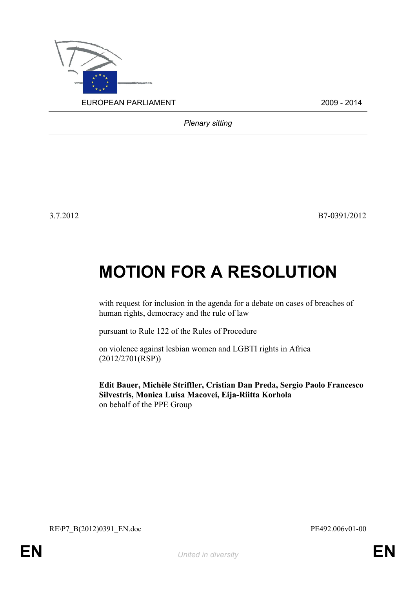

*Plenary sitting*

3.7.2012 B7-0391/2012

# **MOTION FOR A RESOLUTION**

with request for inclusion in the agenda for a debate on cases of breaches of human rights, democracy and the rule of law

pursuant to Rule 122 of the Rules of Procedure

on violence against lesbian women and LGBTI rights in Africa (2012/2701(RSP))

<span id="page-0-1"></span><span id="page-0-0"></span>**Edit Bauer, Michèle Striffler, Cristian Dan Preda, Sergio Paolo Francesco Silvestris, Monica Luisa Macovei, Eija-Riitta Korhola** on behalf of the PPE Group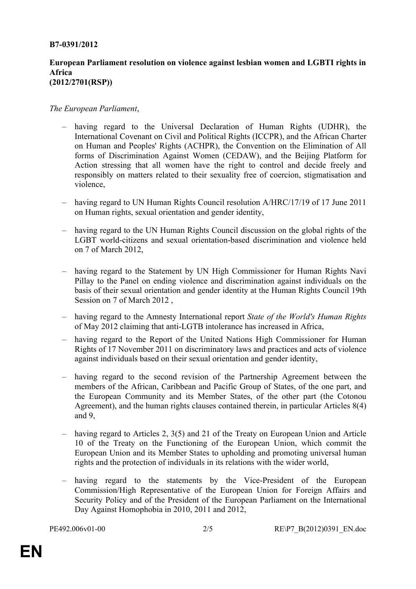### **B7-0391/2012**

### **European Parliament resolution on violence against lesbian women and LGBTI rights in Africa (2012/2701(RSP))**

## *The European Parliament*,

- having regard to the Universal Declaration of Human Rights (UDHR), the International Covenant on Civil and Political Rights (ICCPR), and the African Charter on Human and Peoples' Rights (ACHPR), the Convention on the Elimination of All forms of Discrimination Against Women (CEDAW), and the Beijing Platform for Action stressing that all women have the right to control and decide freely and responsibly on matters related to their sexuality free of coercion, stigmatisation and violence,
- having regard to UN Human Rights Council resolution A/HRC/17/19 of 17 June 2011 on Human rights, sexual orientation and gender identity,
- having regard to the UN Human Rights Council discussion on the global rights of the LGBT world-citizens and sexual orientation-based discrimination and violence held on 7 of March 2012,
- having regard to the Statement by UN High Commissioner for Human Rights Navi Pillay to the Panel on ending violence and discrimination against individuals on the basis of their sexual orientation and gender identity at the Human Rights Council 19th Session on 7 of March 2012,
- having regard to the Amnesty International report *State of the World's Human Rights*  of May 2012 claiming that anti-LGTB intolerance has increased in Africa,
- having regard to the Report of the United Nations High Commissioner for Human Rights of 17 November 2011 on discriminatory laws and practices and acts of violence against individuals based on their sexual orientation and gender identity,
- having regard to the second revision of the Partnership Agreement between the members of the African, Caribbean and Pacific Group of States, of the one part, and the European Community and its Member States, of the other part (the Cotonou Agreement), and the human rights clauses contained therein, in particular Articles 8(4) and 9,
- having regard to Articles 2, 3(5) and 21 of the Treaty on European Union and Article 10 of the Treaty on the Functioning of the European Union, which commit the European Union and its Member States to upholding and promoting universal human rights and the protection of individuals in its relations with the wider world,
- having regard to the statements by the Vice-President of the European Commission/High Representative of the European Union for Foreign Affairs and Security Policy and of the President of the European Parliament on the International Day Against Homophobia in 2010, 2011 and 2012,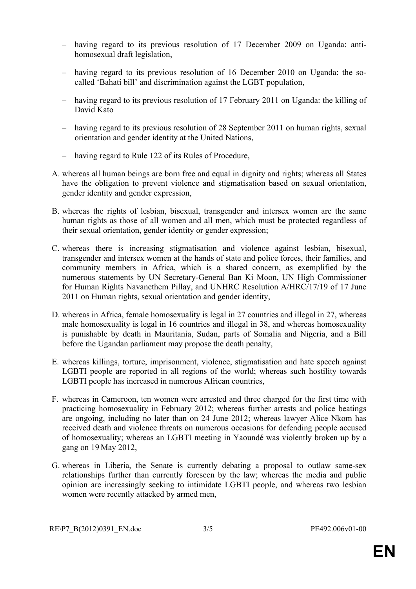- having regard to its previous resolution of 17 December 2009 on Uganda: antihomosexual draft legislation,
- having regard to its previous resolution of 16 December 2010 on Uganda: the socalled 'Bahati bill' and discrimination against the LGBT population,
- having regard to its previous resolution of 17 February 2011 on Uganda: the killing of David Kato
- having regard to its previous resolution of 28 September 2011 on human rights, sexual orientation and gender identity at the United Nations,
- having regard to Rule 122 of its Rules of Procedure,
- A. whereas all human beings are born free and equal in dignity and rights; whereas all States have the obligation to prevent violence and stigmatisation based on sexual orientation, gender identity and gender expression,
- B. whereas the rights of lesbian, bisexual, transgender and intersex women are the same human rights as those of all women and all men, which must be protected regardless of their sexual orientation, gender identity or gender expression;
- C. whereas there is increasing stigmatisation and violence against lesbian, bisexual, transgender and intersex women at the hands of state and police forces, their families, and community members in Africa, which is a shared concern, as exemplified by the numerous statements by UN Secretary-General Ban Ki Moon, UN High Commissioner for Human Rights Navanethem Pillay, and UNHRC Resolution A/HRC/17/19 of 17 June 2011 on Human rights, sexual orientation and gender identity,
- D. whereas in Africa, female homosexuality is legal in 27 countries and illegal in 27, whereas male homosexuality is legal in 16 countries and illegal in 38, and whereas homosexuality is punishable by death in Mauritania, Sudan, parts of Somalia and Nigeria, and a Bill before the Ugandan parliament may propose the death penalty,
- E. whereas killings, torture, imprisonment, violence, stigmatisation and hate speech against LGBTI people are reported in all regions of the world; whereas such hostility towards LGBTI people has increased in numerous African countries,
- F. whereas in Cameroon, ten women were arrested and three charged for the first time with practicing homosexuality in February 2012; whereas further arrests and police beatings are ongoing, including no later than on 24 June 2012; whereas lawyer Alice Nkom has received death and violence threats on numerous occasions for defending people accused of homosexuality; whereas an LGBTI meeting in Yaoundé was violently broken up by a gang on 19 May 2012,
- G. whereas in Liberia, the Senate is currently debating a proposal to outlaw same-sex relationships further than currently foreseen by the law; whereas the media and public opinion are increasingly seeking to intimidate LGBTI people, and whereas two lesbian women were recently attacked by armed men,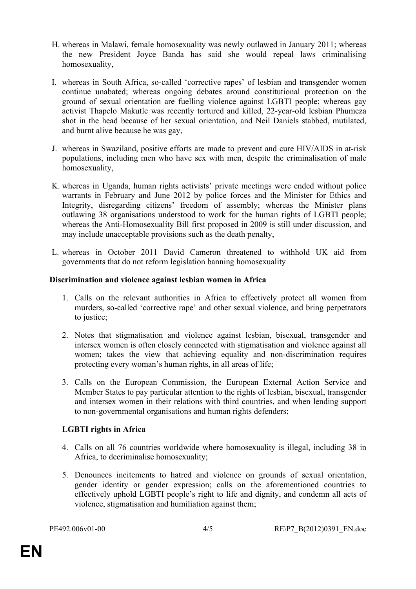- H. whereas in Malawi, female homosexuality was newly outlawed in January 2011; whereas the new President Joyce Banda has said she would repeal laws criminalising homosexuality,
- I. whereas in South Africa, so-called 'corrective rapes' of lesbian and transgender women continue unabated; whereas ongoing debates around constitutional protection on the ground of sexual orientation are fuelling violence against LGBTI people; whereas gay activist Thapelo Makutle was recently tortured and killed, 22-year-old lesbian Phumeza shot in the head because of her sexual orientation, and Neil Daniels stabbed, mutilated, and burnt alive because he was gay,
- J. whereas in Swaziland, positive efforts are made to prevent and cure HIV/AIDS in at-risk populations, including men who have sex with men, despite the criminalisation of male homosexuality,
- K. whereas in Uganda, human rights activists' private meetings were ended without police warrants in February and June 2012 by police forces and the Minister for Ethics and Integrity, disregarding citizens' freedom of assembly; whereas the Minister plans outlawing 38 organisations understood to work for the human rights of LGBTI people; whereas the Anti-Homosexuality Bill first proposed in 2009 is still under discussion, and may include unacceptable provisions such as the death penalty,
- L. whereas in October 2011 David Cameron threatened to withhold UK aid from governments that do not reform legislation banning homosexuality

## **Discrimination and violence against lesbian women in Africa**

- 1. Calls on the relevant authorities in Africa to effectively protect all women from murders, so-called 'corrective rape' and other sexual violence, and bring perpetrators to justice;
- 2. Notes that stigmatisation and violence against lesbian, bisexual, transgender and intersex women is often closely connected with stigmatisation and violence against all women; takes the view that achieving equality and non-discrimination requires protecting every woman's human rights, in all areas of life;
- 3. Calls on the European Commission, the European External Action Service and Member States to pay particular attention to the rights of lesbian, bisexual, transgender and intersex women in their relations with third countries, and when lending support to non-governmental organisations and human rights defenders;

# **LGBTI rights in Africa**

- 4. Calls on all 76 countries worldwide where homosexuality is illegal, including 38 in Africa, to decriminalise homosexuality;
- 5. Denounces incitements to hatred and violence on grounds of sexual orientation, gender identity or gender expression; calls on the aforementioned countries to effectively uphold LGBTI people's right to life and dignity, and condemn all acts of violence, stigmatisation and humiliation against them;